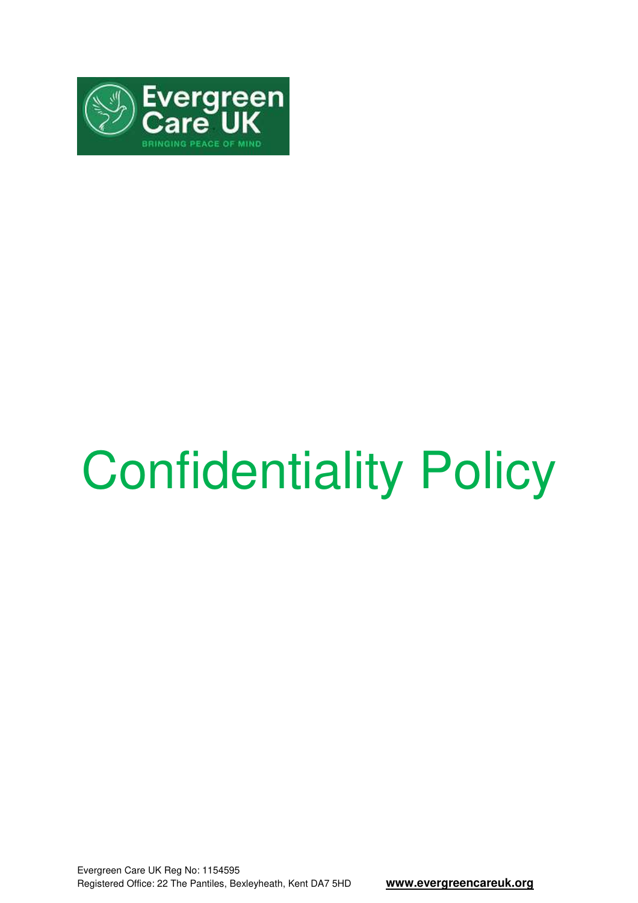

# Confidentiality Policy

Evergreen Care UK Reg No: 1154595 Registered Office: 22 The Pantiles, Bexleyheath, Kent DA7 5HD **www.evergreencareuk.org**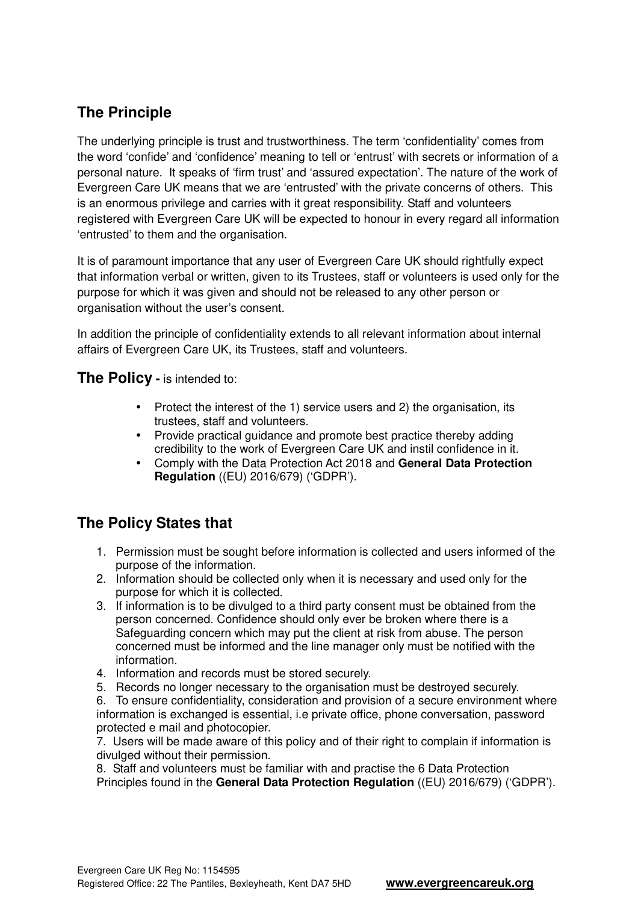## **The Principle**

The underlying principle is trust and trustworthiness. The term 'confidentiality' comes from the word 'confide' and 'confidence' meaning to tell or 'entrust' with secrets or information of a personal nature. It speaks of 'firm trust' and 'assured expectation'. The nature of the work of Evergreen Care UK means that we are 'entrusted' with the private concerns of others. This is an enormous privilege and carries with it great responsibility. Staff and volunteers registered with Evergreen Care UK will be expected to honour in every regard all information 'entrusted' to them and the organisation.

It is of paramount importance that any user of Evergreen Care UK should rightfully expect that information verbal or written, given to its Trustees, staff or volunteers is used only for the purpose for which it was given and should not be released to any other person or organisation without the user's consent.

In addition the principle of confidentiality extends to all relevant information about internal affairs of Evergreen Care UK, its Trustees, staff and volunteers.

**The Policy -** is intended to:

- Protect the interest of the 1) service users and 2) the organisation, its trustees, staff and volunteers.
- Provide practical guidance and promote best practice thereby adding credibility to the work of Evergreen Care UK and instil confidence in it.
- Comply with the Data Protection Act 2018 and **General Data Protection Regulation** ((EU) 2016/679) ('GDPR').

#### **The Policy States that**

- 1. Permission must be sought before information is collected and users informed of the purpose of the information.
- 2. Information should be collected only when it is necessary and used only for the purpose for which it is collected.
- 3. If information is to be divulged to a third party consent must be obtained from the person concerned. Confidence should only ever be broken where there is a Safeguarding concern which may put the client at risk from abuse. The person concerned must be informed and the line manager only must be notified with the information.
- 4. Information and records must be stored securely.
- 5. Records no longer necessary to the organisation must be destroyed securely.

6. To ensure confidentiality, consideration and provision of a secure environment where information is exchanged is essential, i.e private office, phone conversation, password protected e mail and photocopier.

7. Users will be made aware of this policy and of their right to complain if information is divulged without their permission.

8. Staff and volunteers must be familiar with and practise the 6 Data Protection Principles found in the **General Data Protection Regulation** ((EU) 2016/679) ('GDPR').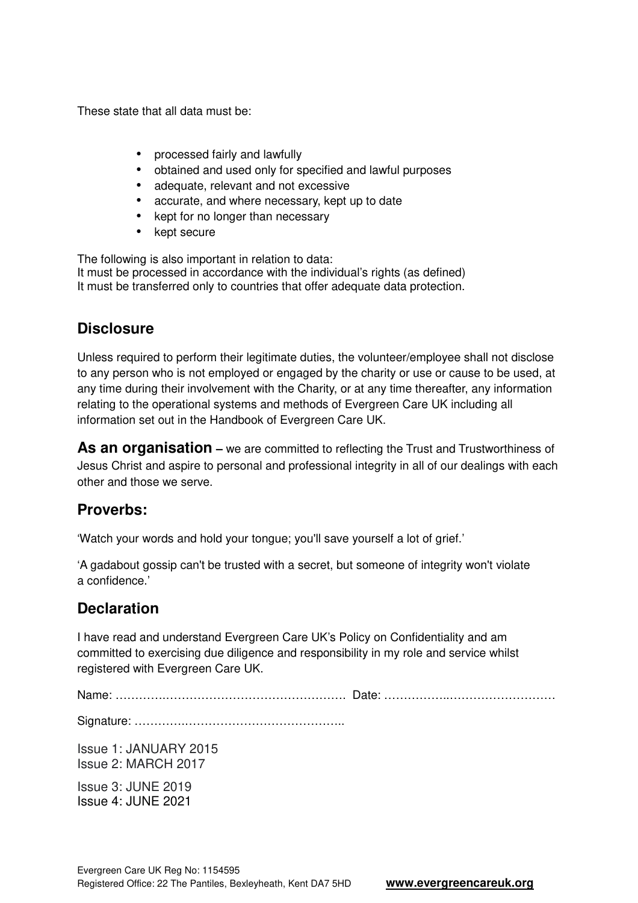These state that all data must be:

- processed fairly and lawfully
- obtained and used only for specified and lawful purposes
- adequate, relevant and not excessive
- accurate, and where necessary, kept up to date
- kept for no longer than necessary
- kept secure

The following is also important in relation to data: It must be processed in accordance with the individual's rights (as defined) It must be transferred only to countries that offer adequate data protection.

#### **Disclosure**

Unless required to perform their legitimate duties, the volunteer/employee shall not disclose to any person who is not employed or engaged by the charity or use or cause to be used, at any time during their involvement with the Charity, or at any time thereafter, any information relating to the operational systems and methods of Evergreen Care UK including all information set out in the Handbook of Evergreen Care UK.

**As an organisation** – we are committed to reflecting the Trust and Trustworthiness of Jesus Christ and aspire to personal and professional integrity in all of our dealings with each other and those we serve.

#### **Proverbs:**

'Watch your words and hold your tongue; you'll save yourself a lot of grief.'

'A gadabout gossip can't be trusted with a secret, but someone of integrity won't violate a confidence.'

### **Declaration**

I have read and understand Evergreen Care UK's Policy on Confidentiality and am committed to exercising due diligence and responsibility in my role and service whilst registered with Evergreen Care UK.

Name: ………….………………………………………. Date: ……………..………………………

Signature: ………….…………………………………..

Issue 1: JANUARY 2015 Issue 2: MARCH 2017

Issue 3: JUNE 2019 Issue 4: JUNE 2021